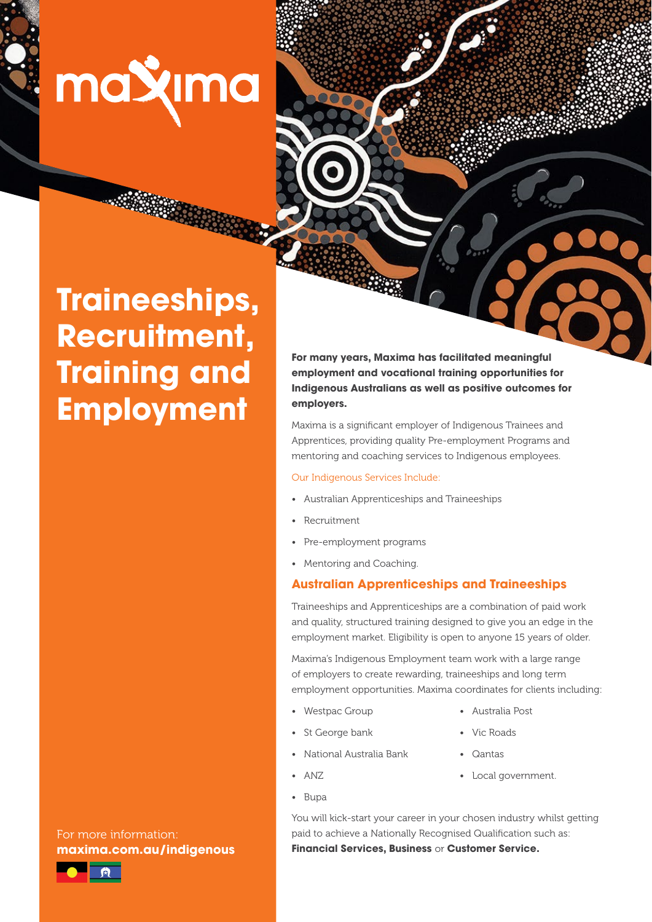maxima

**Traineeships, Recruitment, Training and Employment**

For more information: **maxima.com.au/indigenous**



**For many years, Maxima has facilitated meaningful employment and vocational training opportunities for Indigenous Australians as well as positive outcomes for employers.**

Maxima is a significant employer of Indigenous Trainees and Apprentices, providing quality Pre-employment Programs and mentoring and coaching services to Indigenous employees.

#### Our Indigenous Services Include:

- Australian Apprenticeships and Traineeships
- Recruitment
- Pre-employment programs
- Mentoring and Coaching.

# **Australian Apprenticeships and Traineeships**

Traineeships and Apprenticeships are a combination of paid work and quality, structured training designed to give you an edge in the employment market. Eligibility is open to anyone 15 years of older.

Maxima's Indigenous Employment team work with a large range of employers to create rewarding, traineeships and long term employment opportunities. Maxima coordinates for clients including:

- Westpac Group
- Australia Post
- St George bank
- 
- 
- Vic Roads • Qantas
- National Australia Bank
- ANZ

• Bupa

• Local government.

You will kick-start your career in your chosen industry whilst getting paid to achieve a Nationally Recognised Qualification such as: **Financial Services, Business** or **Customer Service.**